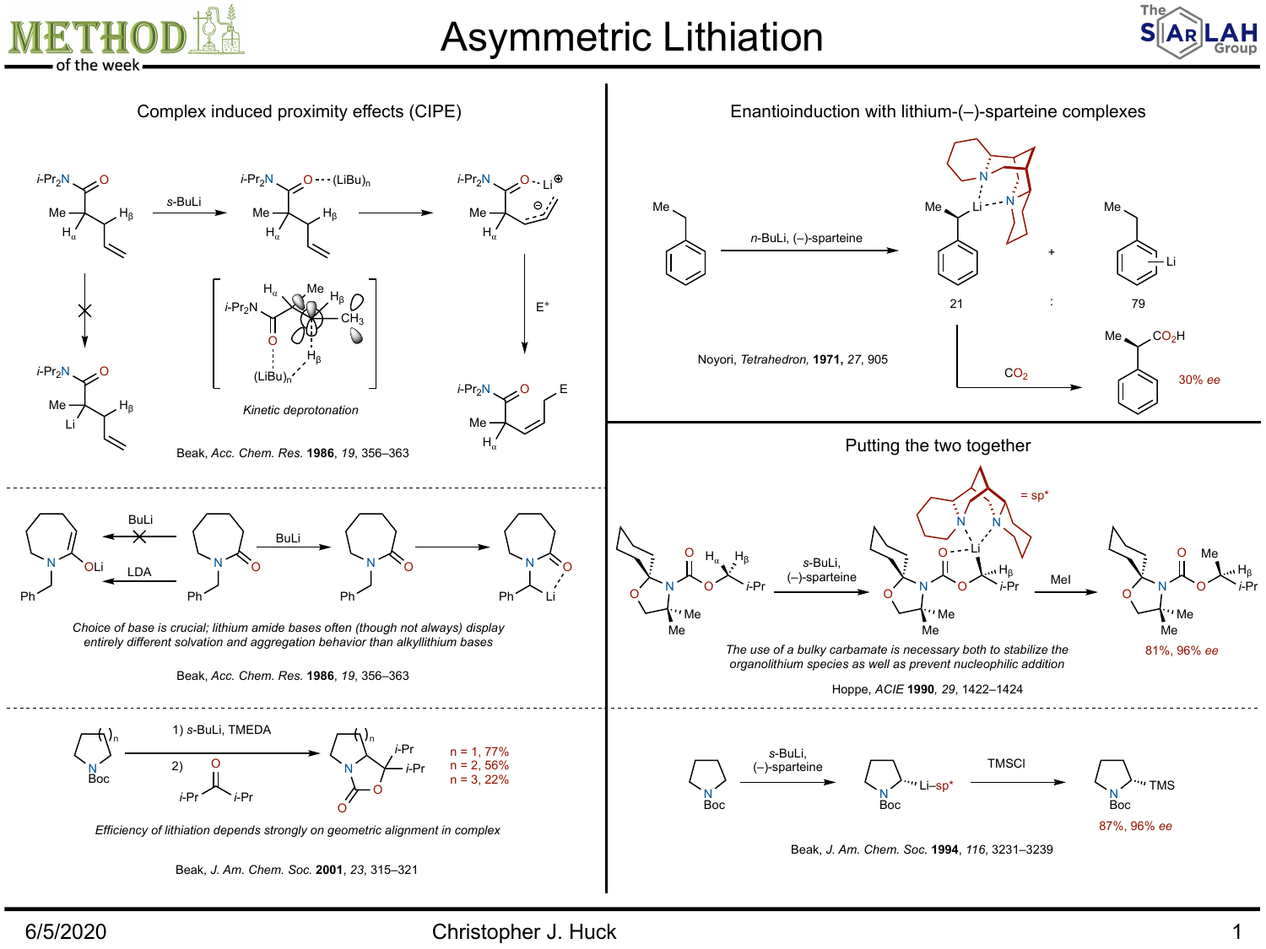

## Asymmetric Lithiation





6/5/2020 Christopher J. Huck 1